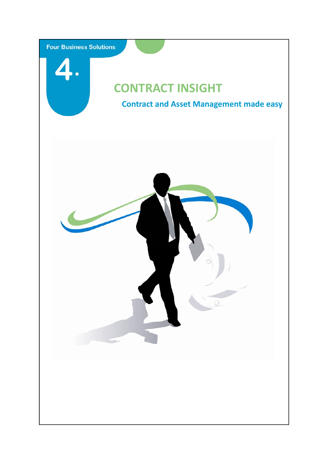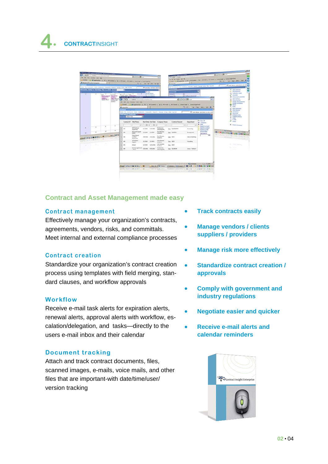

## **Contract and Asset Management made easy**

#### **Contract management**

Effectively manage your organization's contracts, agreements, vendors, risks, and committals. Meet internal and external compliance processes

### **Contract creation**

Standardize your organization's contract creation process using templates with field merging, standard clauses, and workflow approvals

### **Workflow**

Receive e-mail task alerts for expiration alerts, renewal alerts, approval alerts with workflow, escalation/delegation, and tasks—directly to the users e-mail inbox and their calendar

### **Document tracking**

Attach and track contract documents, files, scanned images, e-mails, voice mails, and other files that are important-with date/time/user/ version tracking

- **Track contracts easily**
- **Manage vendors / clients suppliers / providers**
- **Manage risk more effectively**
- **Standardize contract creation / approvals**
- **Comply with government and industry regulations**
- **Negotiate easier and quicker**
- **Receive e-mail alerts and calendar reminders**

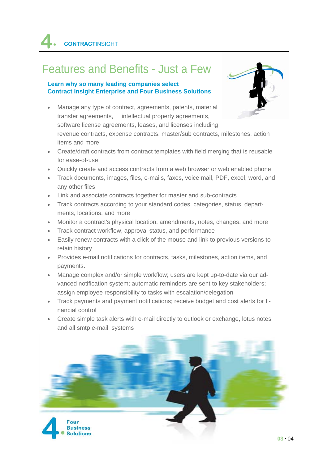# Features and Benefits - Just a Few

### **Learn why so many leading companies select Contract Insight Enterprise and Four Business Solutions**



- Manage any type of contract, agreements, patents, material transfer agreements, intellectual property agreements, software license agreements, leases, and licenses including revenue contracts, expense contracts, master/sub contracts, milestones, action items and more
- Create/draft contracts from contract templates with field merging that is reusable for ease-of-use
- Quickly create and access contracts from a web browser or web enabled phone
- Track documents, images, files, e-mails, faxes, voice mail, PDF, excel, word, and any other files
- Link and associate contracts together for master and sub-contracts
- Track contracts according to your standard codes, categories, status, departments, locations, and more
- Monitor a contract's physical location, amendments, notes, changes, and more
- Track contract workflow, approval status, and performance
- Easily renew contracts with a click of the mouse and link to previous versions to retain history
- Provides e-mail notifications for contracts, tasks, milestones, action items, and payments.
- Manage complex and/or simple workflow; users are kept up-to-date via our advanced notification system; automatic reminders are sent to key stakeholders; assign employee responsibility to tasks with escalation/delegation
- Track payments and payment notifications; receive budget and cost alerts for financial control
- Create simple task alerts with e-mail directly to outlook or exchange, lotus notes and all smtp e-mail systems